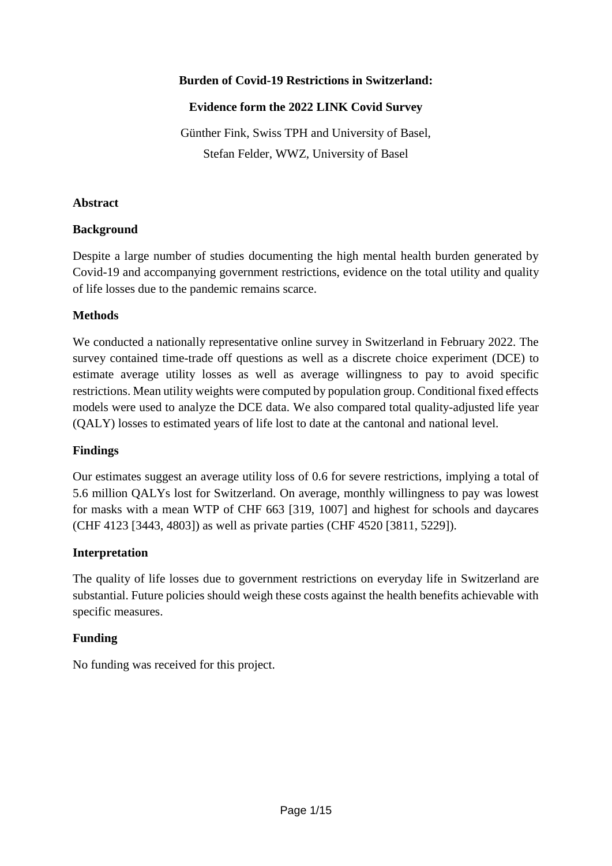# **Burden of Covid-19 Restrictions in Switzerland:**

# **Evidence form the 2022 LINK Covid Survey**

Günther Fink, Swiss TPH and University of Basel, Stefan Felder, WWZ, University of Basel

### **Abstract**

# **Background**

Despite a large number of studies documenting the high mental health burden generated by Covid-19 and accompanying government restrictions, evidence on the total utility and quality of life losses due to the pandemic remains scarce.

# **Methods**

We conducted a nationally representative online survey in Switzerland in February 2022. The survey contained time-trade off questions as well as a discrete choice experiment (DCE) to estimate average utility losses as well as average willingness to pay to avoid specific restrictions. Mean utility weights were computed by population group. Conditional fixed effects models were used to analyze the DCE data. We also compared total quality-adjusted life year (QALY) losses to estimated years of life lost to date at the cantonal and national level.

# **Findings**

Our estimates suggest an average utility loss of 0.6 for severe restrictions, implying a total of 5.6 million QALYs lost for Switzerland. On average, monthly willingness to pay was lowest for masks with a mean WTP of CHF 663 [319, 1007] and highest for schools and daycares (CHF 4123 [3443, 4803]) as well as private parties (CHF 4520 [3811, 5229]).

# **Interpretation**

The quality of life losses due to government restrictions on everyday life in Switzerland are substantial. Future policies should weigh these costs against the health benefits achievable with specific measures.

# **Funding**

No funding was received for this project.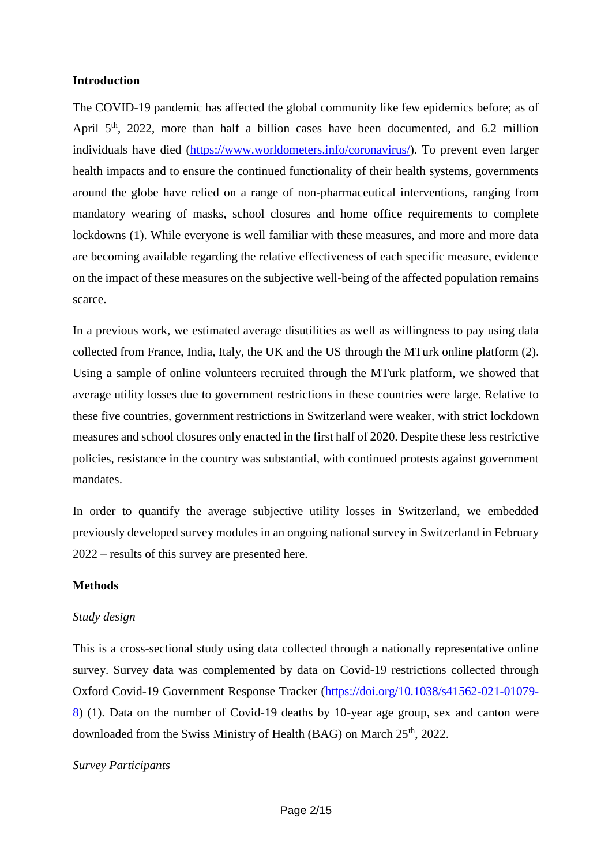### **Introduction**

The COVID-19 pandemic has affected the global community like few epidemics before; as of April  $5<sup>th</sup>$ , 2022, more than half a billion cases have been documented, and 6.2 million individuals have died [\(https://www.worldometers.info/coronavirus/\)](https://www.worldometers.info/coronavirus/). To prevent even larger health impacts and to ensure the continued functionality of their health systems, governments around the globe have relied on a range of non-pharmaceutical interventions, ranging from mandatory wearing of masks, school closures and home office requirements to complete lockdowns (1). While everyone is well familiar with these measures, and more and more data are becoming available regarding the relative effectiveness of each specific measure, evidence on the impact of these measures on the subjective well-being of the affected population remains scarce.

In a previous work, we estimated average disutilities as well as willingness to pay using data collected from France, India, Italy, the UK and the US through the MTurk online platform (2). Using a sample of online volunteers recruited through the MTurk platform, we showed that average utility losses due to government restrictions in these countries were large. Relative to these five countries, government restrictions in Switzerland were weaker, with strict lockdown measures and school closures only enacted in the first half of 2020. Despite these less restrictive policies, resistance in the country was substantial, with continued protests against government mandates.

In order to quantify the average subjective utility losses in Switzerland, we embedded previously developed survey modules in an ongoing national survey in Switzerland in February 2022 – results of this survey are presented here.

#### **Methods**

### *Study design*

This is a cross-sectional study using data collected through a nationally representative online survey. Survey data was complemented by data on Covid-19 restrictions collected through Oxford Covid-19 Government Response Tracker [\(https://doi.org/10.1038/s41562-021-01079-](https://doi.org/10.1038/s41562-021-01079-8) [8\)](https://doi.org/10.1038/s41562-021-01079-8) (1). Data on the number of Covid-19 deaths by 10-year age group, sex and canton were downloaded from the Swiss Ministry of Health (BAG) on March 25<sup>th</sup>, 2022.

#### *Survey Participants*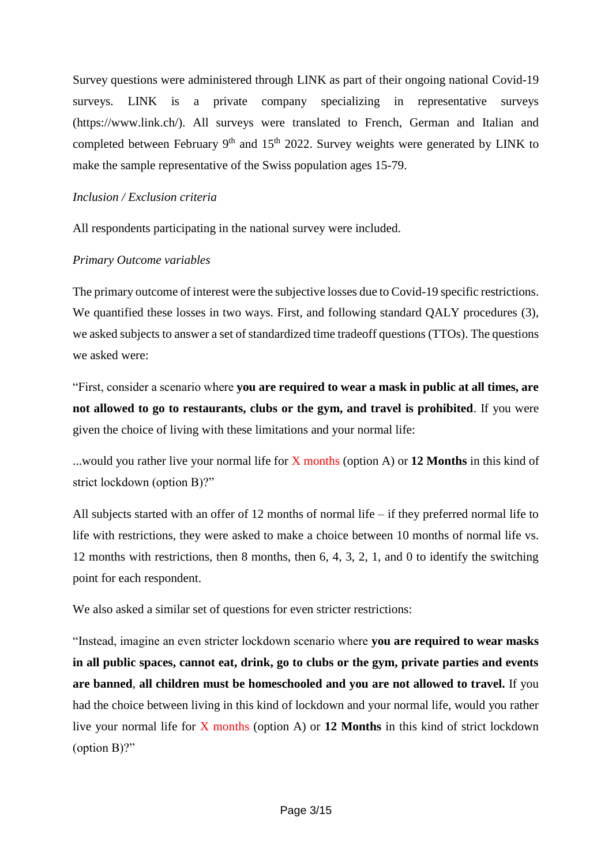Survey questions were administered through LINK as part of their ongoing national Covid-19 surveys. LINK is a private company specializing in representative surveys (https://www.link.ch/). All surveys were translated to French, German and Italian and completed between February  $9<sup>th</sup>$  and  $15<sup>th</sup>$  2022. Survey weights were generated by LINK to make the sample representative of the Swiss population ages 15-79.

### *Inclusion / Exclusion criteria*

All respondents participating in the national survey were included.

### *Primary Outcome variables*

The primary outcome of interest were the subjective losses due to Covid-19 specific restrictions. We quantified these losses in two ways. First, and following standard QALY procedures (3), we asked subjects to answer a set of standardized time tradeoff questions (TTOs). The questions we asked were:

"First, consider a scenario where **you are required to wear a mask in public at all times, are not allowed to go to restaurants, clubs or the gym, and travel is prohibited**. If you were given the choice of living with these limitations and your normal life:

...would you rather live your normal life for X months (option A) or **12 Months** in this kind of strict lockdown (option B)?"

All subjects started with an offer of 12 months of normal life – if they preferred normal life to life with restrictions, they were asked to make a choice between 10 months of normal life vs. 12 months with restrictions, then 8 months, then 6, 4, 3, 2, 1, and 0 to identify the switching point for each respondent.

We also asked a similar set of questions for even stricter restrictions:

"Instead, imagine an even stricter lockdown scenario where **you are required to wear masks in all public spaces, cannot eat, drink, go to clubs or the gym, private parties and events are banned**, **all children must be homeschooled and you are not allowed to travel.** If you had the choice between living in this kind of lockdown and your normal life, would you rather live your normal life for X months (option A) or **12 Months** in this kind of strict lockdown (option B)?"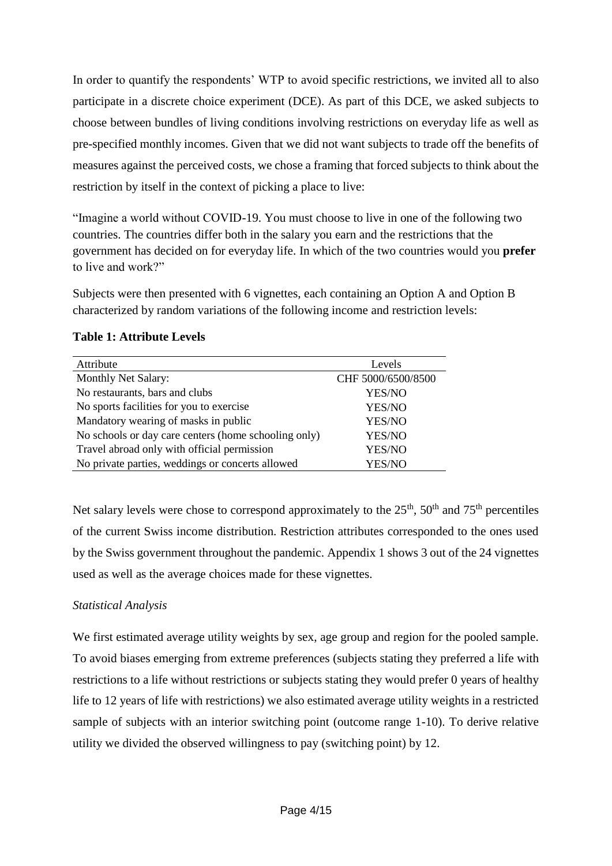In order to quantify the respondents' WTP to avoid specific restrictions, we invited all to also participate in a discrete choice experiment (DCE). As part of this DCE, we asked subjects to choose between bundles of living conditions involving restrictions on everyday life as well as pre-specified monthly incomes. Given that we did not want subjects to trade off the benefits of measures against the perceived costs, we chose a framing that forced subjects to think about the restriction by itself in the context of picking a place to live:

"Imagine a world without COVID-19. You must choose to live in one of the following two countries. The countries differ both in the salary you earn and the restrictions that the government has decided on for everyday life. In which of the two countries would you **prefer** to live and work?"

Subjects were then presented with 6 vignettes, each containing an Option A and Option B characterized by random variations of the following income and restriction levels:

| Attribute                                            | Levels             |
|------------------------------------------------------|--------------------|
| Monthly Net Salary:                                  | CHF 5000/6500/8500 |
| No restaurants, bars and clubs                       | YES/NO             |
| No sports facilities for you to exercise             | YES/NO             |
| Mandatory wearing of masks in public                 | YES/NO             |
| No schools or day care centers (home schooling only) | YES/NO             |
| Travel abroad only with official permission          | YES/NO             |
| No private parties, weddings or concerts allowed     | YES/NO             |

# **Table 1: Attribute Levels**

Net salary levels were chose to correspond approximately to the  $25<sup>th</sup>$ ,  $50<sup>th</sup>$  and  $75<sup>th</sup>$  percentiles of the current Swiss income distribution. Restriction attributes corresponded to the ones used by the Swiss government throughout the pandemic. Appendix 1 shows 3 out of the 24 vignettes used as well as the average choices made for these vignettes.

# *Statistical Analysis*

We first estimated average utility weights by sex, age group and region for the pooled sample. To avoid biases emerging from extreme preferences (subjects stating they preferred a life with restrictions to a life without restrictions or subjects stating they would prefer 0 years of healthy life to 12 years of life with restrictions) we also estimated average utility weights in a restricted sample of subjects with an interior switching point (outcome range 1-10). To derive relative utility we divided the observed willingness to pay (switching point) by 12.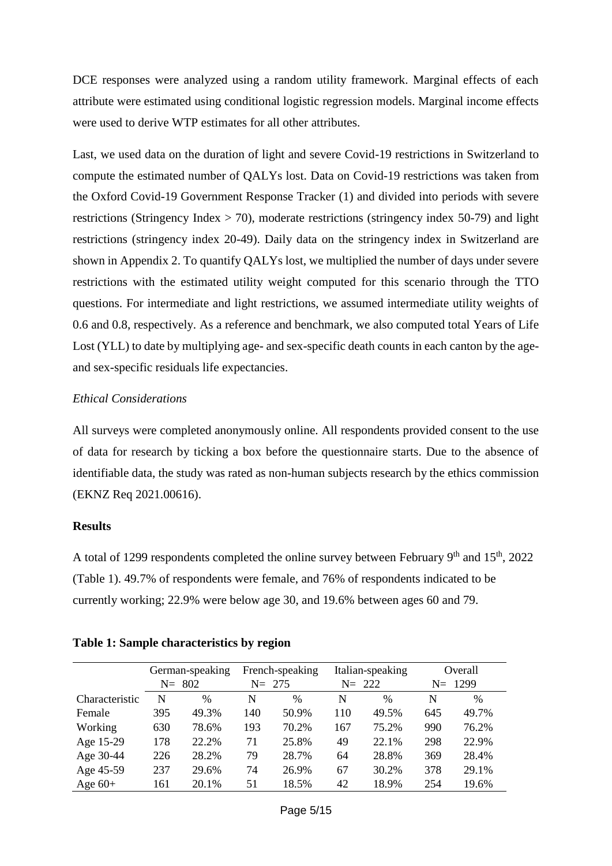DCE responses were analyzed using a random utility framework. Marginal effects of each attribute were estimated using conditional logistic regression models. Marginal income effects were used to derive WTP estimates for all other attributes.

Last, we used data on the duration of light and severe Covid-19 restrictions in Switzerland to compute the estimated number of QALYs lost. Data on Covid-19 restrictions was taken from the Oxford Covid-19 Government Response Tracker (1) and divided into periods with severe restrictions (Stringency Index > 70), moderate restrictions (stringency index 50-79) and light restrictions (stringency index 20-49). Daily data on the stringency index in Switzerland are shown in Appendix 2. To quantify QALYs lost, we multiplied the number of days under severe restrictions with the estimated utility weight computed for this scenario through the TTO questions. For intermediate and light restrictions, we assumed intermediate utility weights of 0.6 and 0.8, respectively. As a reference and benchmark, we also computed total Years of Life Lost (YLL) to date by multiplying age- and sex-specific death counts in each canton by the ageand sex-specific residuals life expectancies.

# *Ethical Considerations*

All surveys were completed anonymously online. All respondents provided consent to the use of data for research by ticking a box before the questionnaire starts. Due to the absence of identifiable data, the study was rated as non-human subjects research by the ethics commission (EKNZ Req 2021.00616).

### **Results**

A total of 1299 respondents completed the online survey between February  $9<sup>th</sup>$  and  $15<sup>th</sup>$ , 2022 (Table 1). 49.7% of respondents were female, and 76% of respondents indicated to be currently working; 22.9% were below age 30, and 19.6% between ages 60 and 79.

|                | $N = 802$ | German-speaking | $N = 275$ | French-speaking | $N = 222$ | Italian-speaking |     | Overall<br>$N = 1299$ |
|----------------|-----------|-----------------|-----------|-----------------|-----------|------------------|-----|-----------------------|
| Characteristic | N         | $\%$            | N         | $\frac{0}{0}$   | N         | $\%$             | N   | $\%$                  |
| Female         | 395       | 49.3%           | 140       | 50.9%           | 110       | 49.5%            | 645 | 49.7%                 |
| Working        | 630       | 78.6%           | 193       | 70.2%           | 167       | 75.2%            | 990 | 76.2%                 |
| Age 15-29      | 178       | 22.2%           | 71        | 25.8%           | 49        | 22.1%            | 298 | 22.9%                 |
| Age 30-44      | 226       | 28.2%           | 79        | 28.7%           | 64        | 28.8%            | 369 | 28.4%                 |
| Age 45-59      | 237       | 29.6%           | 74        | 26.9%           | 67        | 30.2%            | 378 | 29.1%                 |
| Age $60+$      | 161       | 20.1%           | 51        | 18.5%           | 42        | 18.9%            | 254 | 19.6%                 |

### **Table 1: Sample characteristics by region**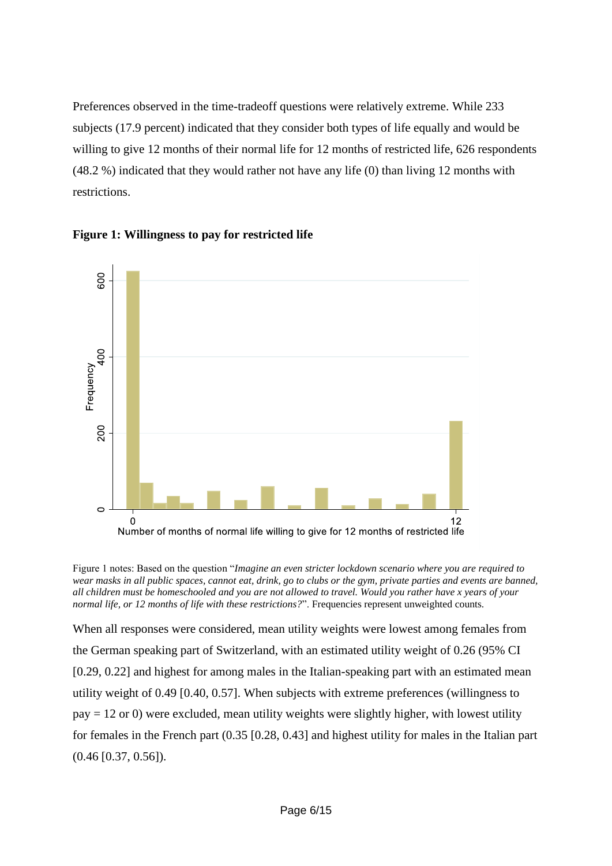Preferences observed in the time-tradeoff questions were relatively extreme. While 233 subjects (17.9 percent) indicated that they consider both types of life equally and would be willing to give 12 months of their normal life for 12 months of restricted life, 626 respondents (48.2 %) indicated that they would rather not have any life (0) than living 12 months with restrictions.





Figure 1 notes: Based on the question "*Imagine an even stricter lockdown scenario where you are required to wear masks in all public spaces, cannot eat, drink, go to clubs or the gym, private parties and events are banned, all children must be homeschooled and you are not allowed to travel. Would you rather have x years of your normal life, or 12 months of life with these restrictions?*". Frequencies represent unweighted counts.

When all responses were considered, mean utility weights were lowest among females from the German speaking part of Switzerland, with an estimated utility weight of 0.26 (95% CI [0.29, 0.22] and highest for among males in the Italian-speaking part with an estimated mean utility weight of 0.49 [0.40, 0.57]. When subjects with extreme preferences (willingness to  $pay = 12$  or 0) were excluded, mean utility weights were slightly higher, with lowest utility for females in the French part (0.35 [0.28, 0.43] and highest utility for males in the Italian part (0.46 [0.37, 0.56]).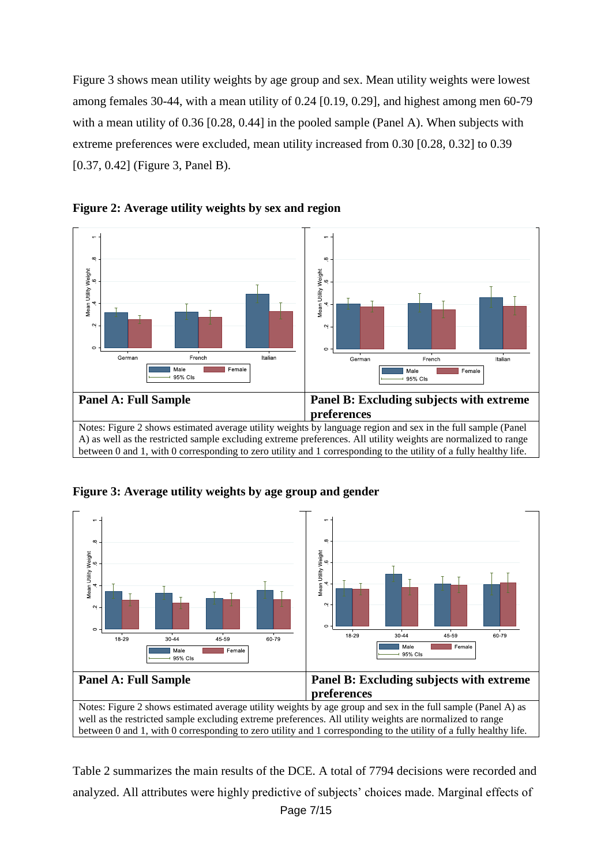Figure 3 shows mean utility weights by age group and sex. Mean utility weights were lowest among females 30-44, with a mean utility of 0.24 [0.19, 0.29], and highest among men 60-79 with a mean utility of 0.36 [0.28, 0.44] in the pooled sample (Panel A). When subjects with extreme preferences were excluded, mean utility increased from 0.30 [0.28, 0.32] to 0.39 [0.37, 0.42] (Figure 3, Panel B).



**Figure 2: Average utility weights by sex and region**





Table 2 summarizes the main results of the DCE. A total of 7794 decisions were recorded and analyzed. All attributes were highly predictive of subjects' choices made. Marginal effects of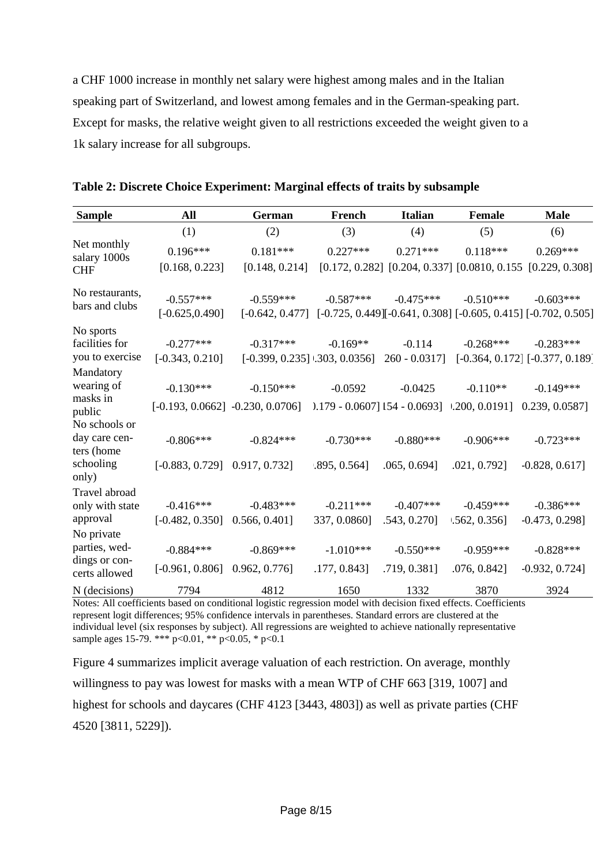a CHF 1000 increase in monthly net salary were highest among males and in the Italian speaking part of Switzerland, and lowest among females and in the German-speaking part. Except for masks, the relative weight given to all restrictions exceeded the weight given to a 1k salary increase for all subgroups.

| <b>Sample</b>                     | All                              | <b>German</b>                                                                             | French                             | <b>Italian</b>   | <b>Female</b> | <b>Male</b>                                                                     |
|-----------------------------------|----------------------------------|-------------------------------------------------------------------------------------------|------------------------------------|------------------|---------------|---------------------------------------------------------------------------------|
|                                   | (1)                              | (2)                                                                                       | (3)                                | (4)              | (5)           | (6)                                                                             |
| Net monthly<br>salary 1000s       | $0.196***$                       | $0.181***$                                                                                | $0.227***$                         | $0.271***$       | $0.118***$    | $0.269***$                                                                      |
| <b>CHF</b>                        | [0.168, 0.223]                   | [0.148, 0.214]                                                                            |                                    |                  |               | $[0.172, 0.282]$ $[0.204, 0.337]$ $[0.0810, 0.155]$ $[0.229, 0.308]$            |
| No restaurants,<br>bars and clubs | $-0.557***$<br>$[-0.625, 0.490]$ | $-0.559***$<br>$[-0.642, 0.477]$                                                          | $-0.587***$                        | $-0.475***$      | $-0.510***$   | $-0.603***$<br>$[-0.725, 0.449][-0.641, 0.308] [-0.605, 0.415] [-0.702, 0.505]$ |
| No sports                         |                                  |                                                                                           |                                    |                  |               |                                                                                 |
| facilities for                    | $-0.277***$                      | $-0.317***$                                                                               | $-0.169**$                         | $-0.114$         | $-0.268***$   | $-0.283***$                                                                     |
| you to exercise                   | $[-0.343, 0.210]$                |                                                                                           | $[-0.399, 0.235]$ $1.303, 0.0356]$ | $260 - 0.0317$ ] |               | $[-0.364, 0.172] [-0.377, 0.189]$                                               |
| Mandatory                         |                                  |                                                                                           |                                    |                  |               |                                                                                 |
| wearing of                        | $-0.130***$                      | $-0.150***$                                                                               | $-0.0592$                          | $-0.0425$        | $-0.110**$    | $-0.149***$                                                                     |
| masks in<br>public                |                                  | $[-0.193, 0.0662]$ $-0.230, 0.0706]$ $-0.179 - 0.0607]$ 154 $-0.0693$ ] $-0.200, 0.0191]$ |                                    |                  |               | 0.239, 0.05871                                                                  |
| No schools or                     |                                  |                                                                                           |                                    |                  |               |                                                                                 |
| day care cen-<br>ters (home       | $-0.806***$                      | $-0.824***$                                                                               | $-0.730***$                        | $-0.880***$      | $-0.906***$   | $-0.723***$                                                                     |
| schooling<br>only)                | $[-0.883, 0.729]$ 0.917, 0.732]  |                                                                                           | $.895, 0.564$ ]                    | .065, 0.694]     | .021, 0.792]  | $-0.828, 0.617$                                                                 |
| Travel abroad                     |                                  |                                                                                           |                                    |                  |               |                                                                                 |
| only with state                   | $-0.416***$                      | $-0.483***$                                                                               | $-0.211***$                        | $-0.407***$      | $-0.459***$   | $-0.386***$                                                                     |
| approval                          | $[-0.482, 0.350]$ 0.566, 0.401]  |                                                                                           | 337, 0.0860]                       | .543, 0.270]     | 1.562, 0.356  | $-0.473, 0.298$ ]                                                               |
| No private                        |                                  |                                                                                           |                                    |                  |               |                                                                                 |
| parties, wed-                     | $-0.884***$                      | $-0.869***$                                                                               | $-1.010***$                        | $-0.550***$      | $-0.959***$   | $-0.828***$                                                                     |
| dings or con-<br>certs allowed    | $[-0.961, 0.806]$ 0.962, 0.776]  |                                                                                           | .177, 0.843]                       | .719, 0.381]     | .076, 0.842]  | $-0.932, 0.724]$                                                                |
| N (decisions)                     | 7794                             | 4812                                                                                      | 1650                               | 1332             | 3870          | 3924                                                                            |

| Table 2: Discrete Choice Experiment: Marginal effects of traits by subsample |  |  |  |  |  |  |  |
|------------------------------------------------------------------------------|--|--|--|--|--|--|--|
|------------------------------------------------------------------------------|--|--|--|--|--|--|--|

Notes: All coefficients based on conditional logistic regression model with decision fixed effects. Coefficients represent logit differences; 95% confidence intervals in parentheses. Standard errors are clustered at the individual level (six responses by subject). All regressions are weighted to achieve nationally representative sample ages 15-79. \*\*\*  $p<0.01$ , \*\*  $p<0.05$ , \*  $p<0.1$ 

Figure 4 summarizes implicit average valuation of each restriction. On average, monthly willingness to pay was lowest for masks with a mean WTP of CHF 663 [319, 1007] and highest for schools and daycares (CHF 4123 [3443, 4803]) as well as private parties (CHF 4520 [3811, 5229]).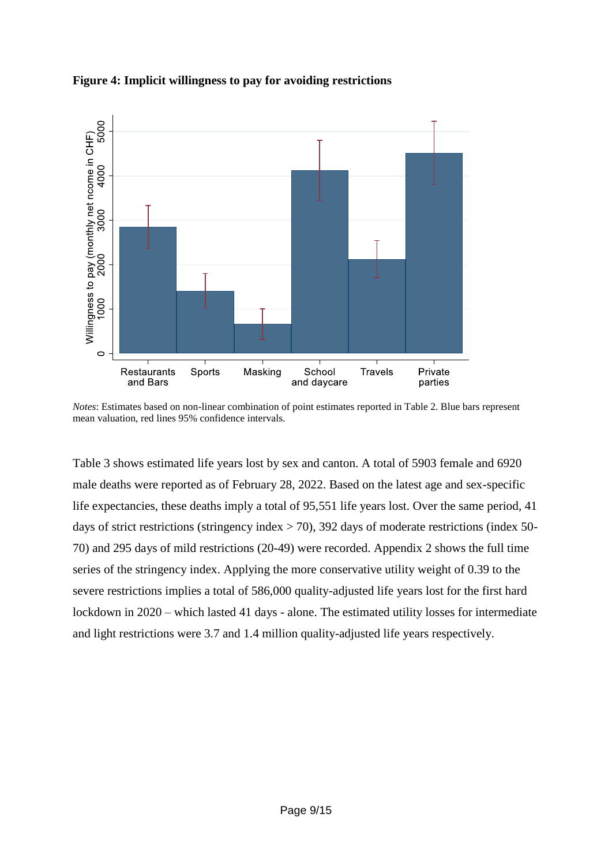



*Notes*: Estimates based on non-linear combination of point estimates reported in Table 2. Blue bars represent mean valuation, red lines 95% confidence intervals.

Table 3 shows estimated life years lost by sex and canton. A total of 5903 female and 6920 male deaths were reported as of February 28, 2022. Based on the latest age and sex-specific life expectancies, these deaths imply a total of 95,551 life years lost. Over the same period, 41 days of strict restrictions (stringency index  $>$  70), 392 days of moderate restrictions (index 50-70) and 295 days of mild restrictions (20-49) were recorded. Appendix 2 shows the full time series of the stringency index. Applying the more conservative utility weight of 0.39 to the severe restrictions implies a total of 586,000 quality-adjusted life years lost for the first hard lockdown in 2020 – which lasted 41 days - alone. The estimated utility losses for intermediate and light restrictions were 3.7 and 1.4 million quality-adjusted life years respectively.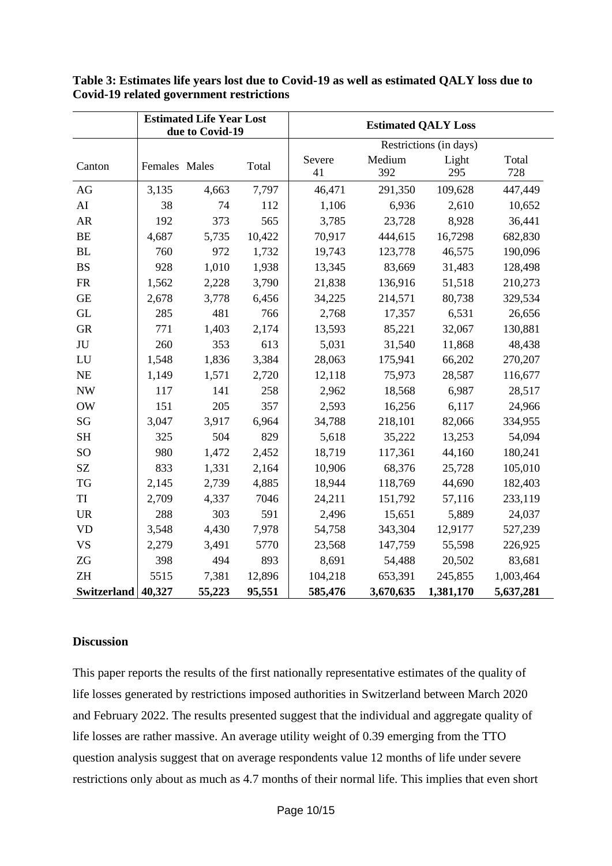|                        |               | <b>Estimated Life Year Lost</b><br>due to Covid-19 |                        | <b>Estimated QALY Loss</b> |               |              |              |
|------------------------|---------------|----------------------------------------------------|------------------------|----------------------------|---------------|--------------|--------------|
|                        |               |                                                    | Restrictions (in days) |                            |               |              |              |
| Canton                 | Females Males |                                                    | Total                  | Severe<br>41               | Medium<br>392 | Light<br>295 | Total<br>728 |
| AG                     | 3,135         | 4,663                                              | 7,797                  | 46,471                     | 291,350       | 109,628      | 447,449      |
| AI                     | 38            | 74                                                 | 112                    | 1,106                      | 6,936         | 2,610        | 10,652       |
| ${\sf AR}$             | 192           | 373                                                | 565                    | 3,785                      | 23,728        | 8,928        | 36,441       |
| <b>BE</b>              | 4,687         | 5,735                                              | 10,422                 | 70,917                     | 444,615       | 16,7298      | 682,830      |
| BL                     | 760           | 972                                                | 1,732                  | 19,743                     | 123,778       | 46,575       | 190,096      |
| <b>BS</b>              | 928           | 1,010                                              | 1,938                  | 13,345                     | 83,669        | 31,483       | 128,498      |
| <b>FR</b>              | 1,562         | 2,228                                              | 3,790                  | 21,838                     | 136,916       | 51,518       | 210,273      |
| <b>GE</b>              | 2,678         | 3,778                                              | 6,456                  | 34,225                     | 214,571       | 80,738       | 329,534      |
| <b>GL</b>              | 285           | 481                                                | 766                    | 2,768                      | 17,357        | 6,531        | 26,656       |
| ${\rm GR}$             | 771           | 1,403                                              | 2,174                  | 13,593                     | 85,221        | 32,067       | 130,881      |
| $\rm JU$               | 260           | 353                                                | 613                    | 5,031                      | 31,540        | 11,868       | 48,438       |
| LU                     | 1,548         | 1,836                                              | 3,384                  | 28,063                     | 175,941       | 66,202       | 270,207      |
| <b>NE</b>              | 1,149         | 1,571                                              | 2,720                  | 12,118                     | 75,973        | 28,587       | 116,677      |
| <b>NW</b>              | 117           | 141                                                | 258                    | 2,962                      | 18,568        | 6,987        | 28,517       |
| $\rm{OW}$              | 151           | 205                                                | 357                    | 2,593                      | 16,256        | 6,117        | 24,966       |
| $\mathbf{S}\mathbf{G}$ | 3,047         | 3,917                                              | 6,964                  | 34,788                     | 218,101       | 82,066       | 334,955      |
| <b>SH</b>              | 325           | 504                                                | 829                    | 5,618                      | 35,222        | 13,253       | 54,094       |
| SO <sub>1</sub>        | 980           | 1,472                                              | 2,452                  | 18,719                     | 117,361       | 44,160       | 180,241      |
| SZ                     | 833           | 1,331                                              | 2,164                  | 10,906                     | 68,376        | 25,728       | 105,010      |
| TG                     | 2,145         | 2,739                                              | 4,885                  | 18,944                     | 118,769       | 44,690       | 182,403      |
| TI                     | 2,709         | 4,337                                              | 7046                   | 24,211                     | 151,792       | 57,116       | 233,119      |
| <b>UR</b>              | 288           | 303                                                | 591                    | 2,496                      | 15,651        | 5,889        | 24,037       |
| <b>VD</b>              | 3,548         | 4,430                                              | 7,978                  | 54,758                     | 343,304       | 12,9177      | 527,239      |
| <b>VS</b>              | 2,279         | 3,491                                              | 5770                   | 23,568                     | 147,759       | 55,598       | 226,925      |
| $Z{\rm G}$             | 398           | 494                                                | 893                    | 8,691                      | 54,488        | 20,502       | 83,681       |
| ZH                     | 5515          | 7,381                                              | 12,896                 | 104,218                    | 653,391       | 245,855      | 1,003,464    |
| Switzerland   40,327   |               | 55,223                                             | 95,551                 | 585,476                    | 3,670,635     | 1,381,170    | 5,637,281    |

**Table 3: Estimates life years lost due to Covid-19 as well as estimated QALY loss due to Covid-19 related government restrictions**

# **Discussion**

This paper reports the results of the first nationally representative estimates of the quality of life losses generated by restrictions imposed authorities in Switzerland between March 2020 and February 2022. The results presented suggest that the individual and aggregate quality of life losses are rather massive. An average utility weight of 0.39 emerging from the TTO question analysis suggest that on average respondents value 12 months of life under severe restrictions only about as much as 4.7 months of their normal life. This implies that even short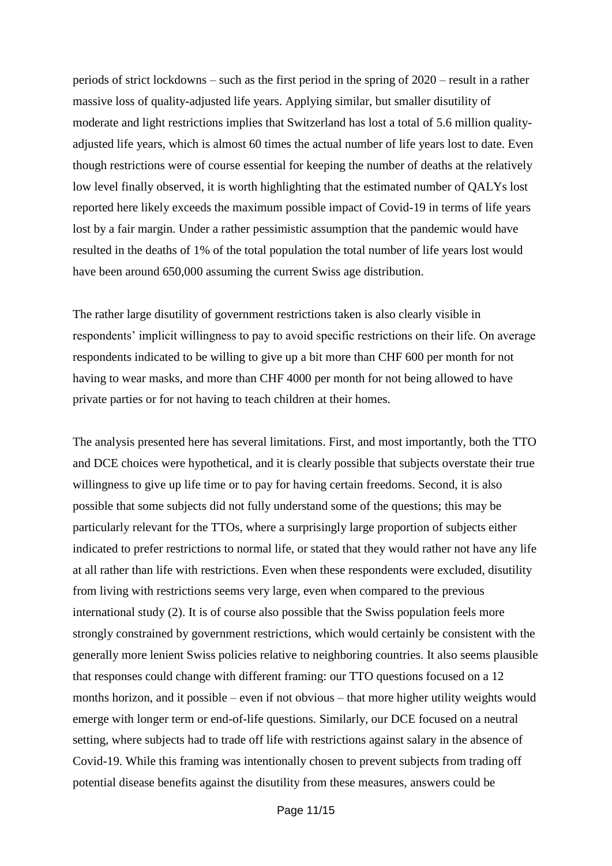periods of strict lockdowns – such as the first period in the spring of 2020 – result in a rather massive loss of quality-adjusted life years. Applying similar, but smaller disutility of moderate and light restrictions implies that Switzerland has lost a total of 5.6 million qualityadjusted life years, which is almost 60 times the actual number of life years lost to date. Even though restrictions were of course essential for keeping the number of deaths at the relatively low level finally observed, it is worth highlighting that the estimated number of QALYs lost reported here likely exceeds the maximum possible impact of Covid-19 in terms of life years lost by a fair margin. Under a rather pessimistic assumption that the pandemic would have resulted in the deaths of 1% of the total population the total number of life years lost would have been around 650,000 assuming the current Swiss age distribution.

The rather large disutility of government restrictions taken is also clearly visible in respondents' implicit willingness to pay to avoid specific restrictions on their life. On average respondents indicated to be willing to give up a bit more than CHF 600 per month for not having to wear masks, and more than CHF 4000 per month for not being allowed to have private parties or for not having to teach children at their homes.

The analysis presented here has several limitations. First, and most importantly, both the TTO and DCE choices were hypothetical, and it is clearly possible that subjects overstate their true willingness to give up life time or to pay for having certain freedoms. Second, it is also possible that some subjects did not fully understand some of the questions; this may be particularly relevant for the TTOs, where a surprisingly large proportion of subjects either indicated to prefer restrictions to normal life, or stated that they would rather not have any life at all rather than life with restrictions. Even when these respondents were excluded, disutility from living with restrictions seems very large, even when compared to the previous international study (2). It is of course also possible that the Swiss population feels more strongly constrained by government restrictions, which would certainly be consistent with the generally more lenient Swiss policies relative to neighboring countries. It also seems plausible that responses could change with different framing: our TTO questions focused on a 12 months horizon, and it possible – even if not obvious – that more higher utility weights would emerge with longer term or end-of-life questions. Similarly, our DCE focused on a neutral setting, where subjects had to trade off life with restrictions against salary in the absence of Covid-19. While this framing was intentionally chosen to prevent subjects from trading off potential disease benefits against the disutility from these measures, answers could be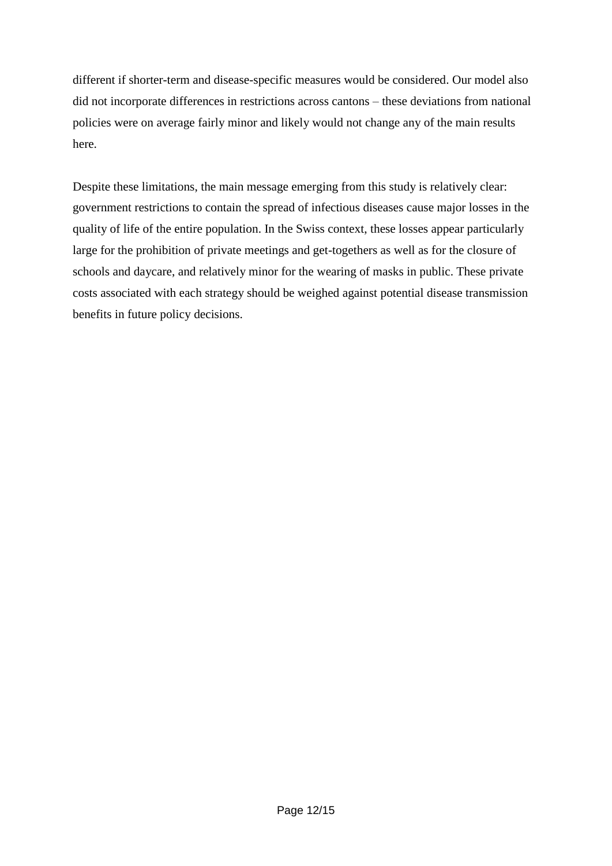different if shorter-term and disease-specific measures would be considered. Our model also did not incorporate differences in restrictions across cantons – these deviations from national policies were on average fairly minor and likely would not change any of the main results here.

Despite these limitations, the main message emerging from this study is relatively clear: government restrictions to contain the spread of infectious diseases cause major losses in the quality of life of the entire population. In the Swiss context, these losses appear particularly large for the prohibition of private meetings and get-togethers as well as for the closure of schools and daycare, and relatively minor for the wearing of masks in public. These private costs associated with each strategy should be weighed against potential disease transmission benefits in future policy decisions.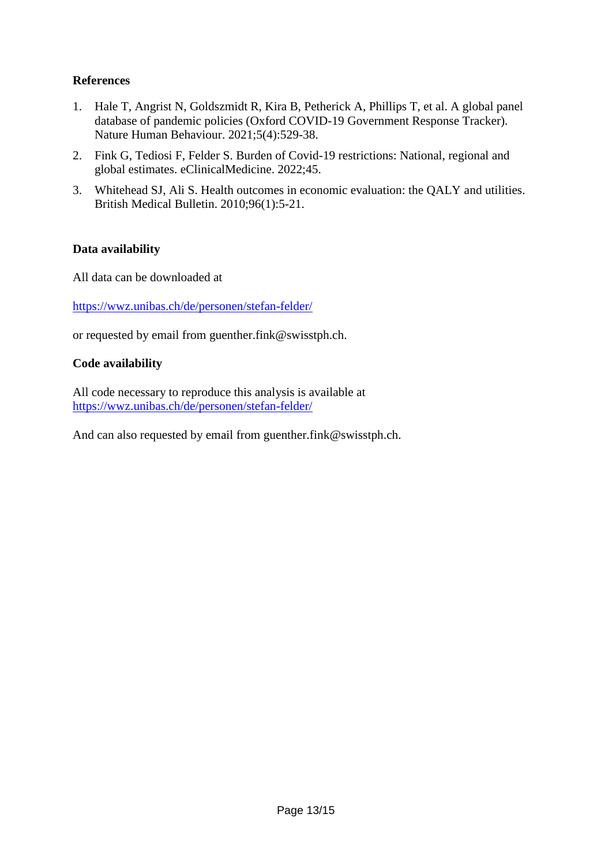# **References**

- 1. Hale T, Angrist N, Goldszmidt R, Kira B, Petherick A, Phillips T, et al. A global panel database of pandemic policies (Oxford COVID-19 Government Response Tracker). Nature Human Behaviour. 2021;5(4):529-38.
- 2. Fink G, Tediosi F, Felder S. Burden of Covid-19 restrictions: National, regional and global estimates. eClinicalMedicine. 2022;45.
- 3. Whitehead SJ, Ali S. Health outcomes in economic evaluation: the QALY and utilities. British Medical Bulletin. 2010;96(1):5-21.

# **Data availability**

All data can be downloaded at

<https://wwz.unibas.ch/de/personen/stefan-felder/>

or requested by email from guenther.fink@swisstph.ch.

### **Code availability**

All code necessary to reproduce this analysis is available at <https://wwz.unibas.ch/de/personen/stefan-felder/>

And can also requested by email from guenther.fink@swisstph.ch.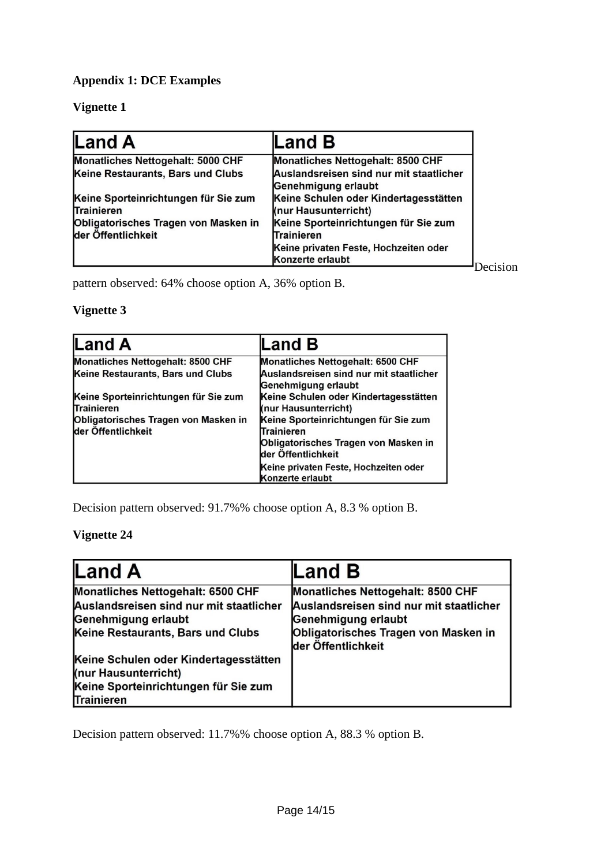# **Appendix 1: DCE Examples**

# **Vignette 1**

| <b>Land A</b>                                              | $\mathsf{Land}\,\mathsf{B}$                                    |
|------------------------------------------------------------|----------------------------------------------------------------|
| Monatliches Nettogehalt: 5000 CHF                          | Monatliches Nettogehalt: 8500 CHF                              |
| Keine Restaurants, Bars und Clubs                          | Auslandsreisen sind nur mit staatlicher<br>Genehmigung erlaubt |
| Keine Sporteinrichtungen für Sie zum<br>Trainieren         | Keine Schulen oder Kindertagesstätten<br>(nur Hausunterricht)  |
| Obligatorisches Tragen von Masken in<br>der Öffentlichkeit | Keine Sporteinrichtungen für Sie zum<br>Trainieren             |
|                                                            | Keine privaten Feste, Hochzeiten oder<br>Konzerte erlaubt      |

Decision

pattern observed: 64% choose option A, 36% option B.

# **Vignette 3**

| <b>Land A</b>                                              | Land B                                                         |
|------------------------------------------------------------|----------------------------------------------------------------|
| Monatliches Nettogehalt: 8500 CHF                          | Monatliches Nettogehalt: 6500 CHF                              |
| Keine Restaurants, Bars und Clubs                          | Auslandsreisen sind nur mit staatlicher<br>Genehmigung erlaubt |
| Keine Sporteinrichtungen für Sie zum<br>Trainieren         | Keine Schulen oder Kindertagesstätten<br>(nur Hausunterricht)  |
| Obligatorisches Tragen von Masken in<br>der Öffentlichkeit | Keine Sporteinrichtungen für Sie zum<br>Trainieren             |
|                                                            | Obligatorisches Tragen von Masken in<br>der Öffentlichkeit     |
|                                                            | Keine privaten Feste, Hochzeiten oder<br>Konzerte erlaubt      |

Decision pattern observed: 91.7%% choose option A, 8.3 % option B.

### **Vignette 24**

| <b>Land A</b>                                                 | $\mathsf{Land}\,\mathsf{B}$                                |
|---------------------------------------------------------------|------------------------------------------------------------|
| Monatliches Nettogehalt: 6500 CHF                             | Monatliches Nettogehalt: 8500 CHF                          |
| Auslandsreisen sind nur mit staatlicher                       | Auslandsreisen sind nur mit staatlicher                    |
| Genehmigung erlaubt                                           | Genehmigung erlaubt                                        |
| Keine Restaurants, Bars und Clubs                             | Obligatorisches Tragen von Masken in<br>der Öffentlichkeit |
| Keine Schulen oder Kindertagesstätten<br>(nur Hausunterricht) |                                                            |
| Keine Sporteinrichtungen für Sie zum<br>Trainieren            |                                                            |

Decision pattern observed: 11.7%% choose option A, 88.3 % option B.